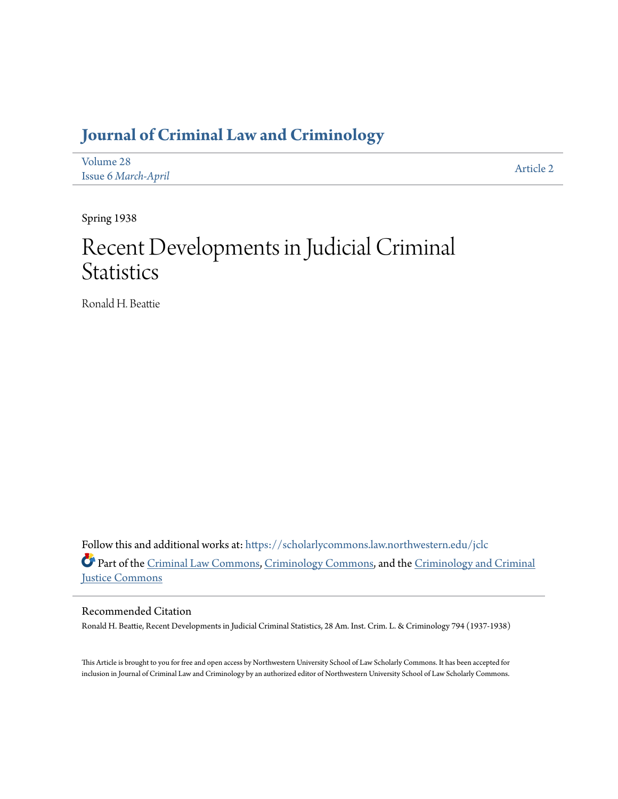## **[Journal of Criminal Law and Criminology](https://scholarlycommons.law.northwestern.edu/jclc?utm_source=scholarlycommons.law.northwestern.edu%2Fjclc%2Fvol28%2Fiss6%2F2&utm_medium=PDF&utm_campaign=PDFCoverPages)**

| Volume 28           | Article 2 |
|---------------------|-----------|
| Issue 6 March-April |           |

Spring 1938

# Recent Developments in Judicial Criminal **Statistics**

Ronald H. Beattie

Follow this and additional works at: [https://scholarlycommons.law.northwestern.edu/jclc](https://scholarlycommons.law.northwestern.edu/jclc?utm_source=scholarlycommons.law.northwestern.edu%2Fjclc%2Fvol28%2Fiss6%2F2&utm_medium=PDF&utm_campaign=PDFCoverPages) Part of the [Criminal Law Commons](http://network.bepress.com/hgg/discipline/912?utm_source=scholarlycommons.law.northwestern.edu%2Fjclc%2Fvol28%2Fiss6%2F2&utm_medium=PDF&utm_campaign=PDFCoverPages), [Criminology Commons](http://network.bepress.com/hgg/discipline/417?utm_source=scholarlycommons.law.northwestern.edu%2Fjclc%2Fvol28%2Fiss6%2F2&utm_medium=PDF&utm_campaign=PDFCoverPages), and the [Criminology and Criminal](http://network.bepress.com/hgg/discipline/367?utm_source=scholarlycommons.law.northwestern.edu%2Fjclc%2Fvol28%2Fiss6%2F2&utm_medium=PDF&utm_campaign=PDFCoverPages) [Justice Commons](http://network.bepress.com/hgg/discipline/367?utm_source=scholarlycommons.law.northwestern.edu%2Fjclc%2Fvol28%2Fiss6%2F2&utm_medium=PDF&utm_campaign=PDFCoverPages)

### Recommended Citation

Ronald H. Beattie, Recent Developments in Judicial Criminal Statistics, 28 Am. Inst. Crim. L. & Criminology 794 (1937-1938)

This Article is brought to you for free and open access by Northwestern University School of Law Scholarly Commons. It has been accepted for inclusion in Journal of Criminal Law and Criminology by an authorized editor of Northwestern University School of Law Scholarly Commons.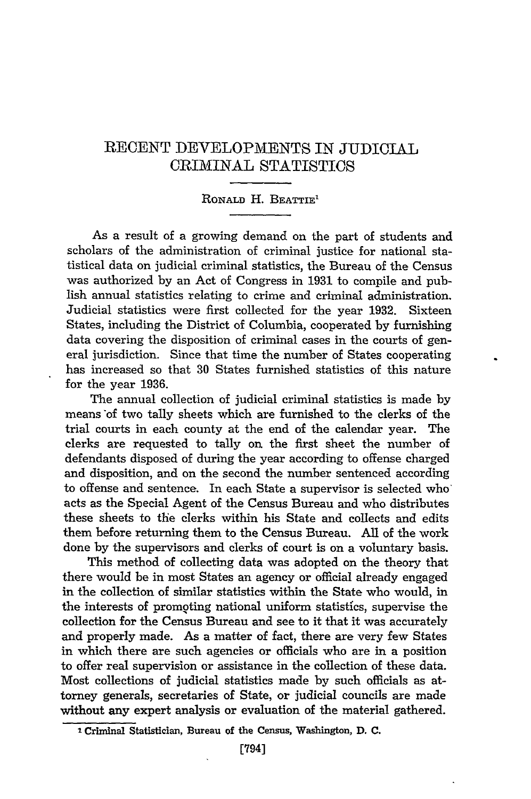#### RECENT DEVELOPMENTS IN JUDICIAL CRIMINAL STATISTICS

#### RONALD H. BEATTIE<sup>1</sup>

As a result of a growing demand on the part of students and scholars of the administration of criminal justice for national statistical data on judicial criminal statistics, the Bureau of the Census was authorized by an Act of Congress in 1931 to compile and publish annual statistics relating to crime and criminal administration. Judicial statistics were first collected for the year 1932. Sixteen States, including the District of Columbia, cooperated by furnishing data covering the disposition of criminal cases in the courts of general jurisdiction. Since that time the number of States cooperating has increased so that 30 States furnished statistics of this nature for the year 1936.

The annual collection of judicial criminal statistics is made by means of two tally sheets which are furnished to the clerks of the trial courts in each county at the end of the calendar year. The clerks are requested to tally on the first sheet the number of defendants disposed of during the year according to offense charged and disposition, and on the second the number sentenced according to offense and sentence. In each State a supervisor is selected who' acts as the Special Agent of the Census Bureau and who distributes these sheets to the clerks within his State and collects and edits them before returning them to the Census Bureau. **All** of the work done by the supervisors and clerks of court is on a voluntary basis.

This method of collecting data was adopted on the theory that there would be in most States an agency or official already engaged in the collection of similar statistics within the State who would, in the interests of promoting national uniform statistics, supervise the collection for the Census Bureau and see to it that it was accurately and properly made. As a matter of fact, there are very few States in which there are such agencies or officials who are in a position to offer real supervision or assistance in the collection of these data. Most collections of judicial statistics made by such officials as attorney generals, secretaries of State, or judicial councils are made without any expert analysis or evaluation of the material gathered.

<sup>,</sup>Criminal **Statistician,** Bureau of **the Census,** Washington, **D. C.**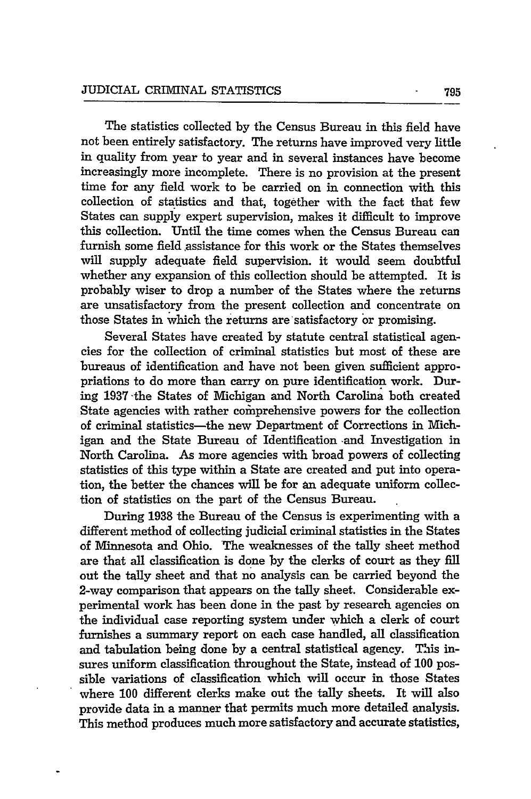The statistics collected by the Census Bureau in this field have not been entirely satisfactory. The returns have improved very little in quality from year to year and in several instances have become increasingly more incomplete. There is no provision at the present time for any field work to be carried on in connection with this collection of statistics and that, together with the fact that few States can supply expert supervision, makes it difficult to improve this collection. Until the time comes when the Census Bureau can furnish some field assistance for this work or the States themselves will supply adequate field supervision, it would seem doubtful whether any expansion of this collection should be attempted. It is probably wiser to drop a number of the States where the returns are unsatisfactory from the present collection and concentrate on those States in which the returns are'satisfactory or promising.

Several States have created **by** statute central statistical agencies for the collection of criminal statistics but most of these are bureaus of identification and have not been given sufficient appropriations to do more than carry on pure identification work. During 1937 "the States of Michigan and North Carolina both created State agencies with rather comprehensive powers for the collection of criminal statistics-the new Department of Corrections in Michigan and the State Bureau of Identification -and Investigation in North Carolina. As more agencies with broad powers of collecting statistics of this type within a State are created and put into operation, the better the chances will be for an adequate uniform collection of statistics on the part of the Census Bureau.

During 1938 the Bureau of the Census is experimenting with a different method of collecting judicial criminal statistics in the States of Minnesota and Ohio. The weaknesses of the tally sheet method are that all classification is done by the clerks of court as they fill out the tally sheet and that no analysis can be carried beyond the 2-way comparison that appears on the tally sheet. Considerable experimental work has been done in the past by research agencies on the individual case reporting system under which a clerk of court furnishes a summary report on each case handled, all classification and tabulation being done by a central statistical agency. This insures uniform classification throughout the State, instead of **100** possible variations of classification which will occur in those States where **100** different clerks make out the tally sheets. It will also provide data in a manner that permits much more detailed analysis. This method produces much more satisfactory and accurate statistics,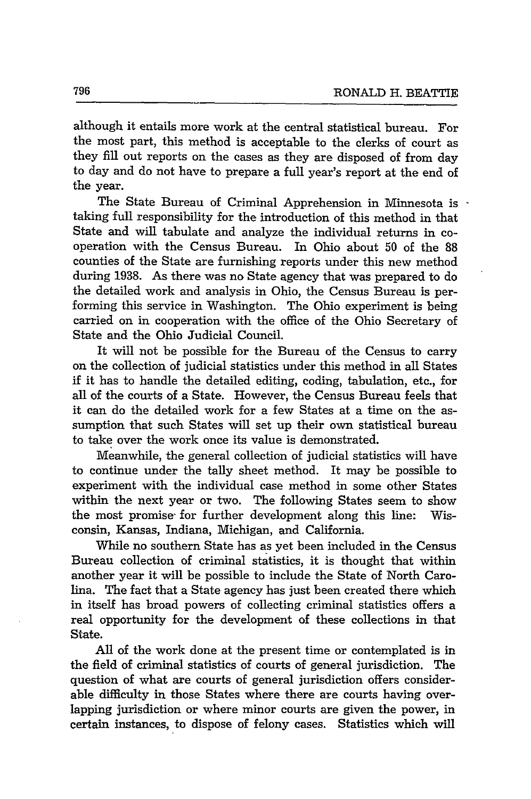although it entails more work at the central statistical bureau. For the most part, this method is acceptable to the clerks of court as they fill out reports on the cases as they are disposed of from day to day and do not have to prepare a full year's report at the end of the year.

The State Bureau of Criminal Apprehension in Minnesota is taking full responsibility for the introduction of this method in that State and will tabulate and analyze the individual returns in cooperation with the Census Bureau. In Ohio about 50 of the 88 counties of the State are furnishing reports under this new method during 1938. As there was no State agency that was prepared to do the detailed work and analysis in Ohio, the Census Bureau is performing this service in Washington. The Ohio experiment is being carried on in cooperation with the office of the Ohio Secretary of State and the Ohio Judicial Council.

It will not be possible for the Bureau of the Census to carry on the collection of judicial statistics under this method in all States if it has to handle the detailed editing, coding, tabulation, etc., for all of the courts of a State. However, the Census Bureau feels that it can do the detailed work for a few States at a time on the assumption that such States will set up their own statistical bureau to take over the work once its value is demonstrated.

Meanwhile, the general collection of judicial statistics will have to continue under the tally sheet method. It may be possible to experiment with the individual case method in some other States within the next year or two. The following States seem to show the most promise, for further development along this line: Wisconsin, Kansas, Indiana, Michigan, and California.

While no southern State has as yet been included in the Census Bureau collection of criminal statistics, it is thought that within another year it will be possible to include the State of North Carolina. The fact that a State agency has just been created there which in itself has broad powers of collecting criminal statistics offers a real opportunity for the development of these collections in that State.

All of the work done at the present time or contemplated is in the field of criminal statistics of courts of general jurisdiction. The question of what are courts of general jurisdiction offers considerable difficulty in those States where there are courts having overlapping jurisdiction or where minor courts are given the power, in certain instances, to dispose of felony cases. Statistics which will